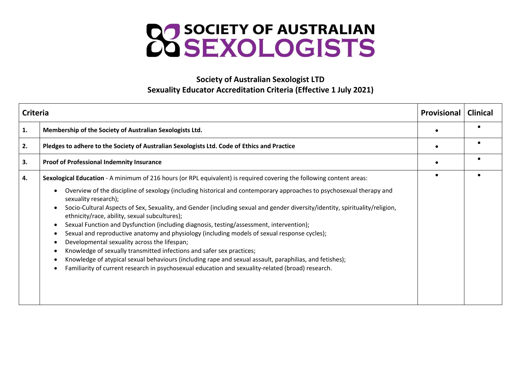

## **Society of Australian Sexologist LTD Sexuality Educator Accreditation Criteria (Effective 1 July 2021)**

| <b>Criteria</b> |                                                                                                                                                                                                                                                                                                                                                                                                                                                                                                                                                                                                                                                                                                                                                                                                                                                                                 | <b>Provisional</b> | <b>Clinical</b> |
|-----------------|---------------------------------------------------------------------------------------------------------------------------------------------------------------------------------------------------------------------------------------------------------------------------------------------------------------------------------------------------------------------------------------------------------------------------------------------------------------------------------------------------------------------------------------------------------------------------------------------------------------------------------------------------------------------------------------------------------------------------------------------------------------------------------------------------------------------------------------------------------------------------------|--------------------|-----------------|
| 1.              | Membership of the Society of Australian Sexologists Ltd.                                                                                                                                                                                                                                                                                                                                                                                                                                                                                                                                                                                                                                                                                                                                                                                                                        |                    |                 |
| 2.              | Pledges to adhere to the Society of Australian Sexologists Ltd. Code of Ethics and Practice                                                                                                                                                                                                                                                                                                                                                                                                                                                                                                                                                                                                                                                                                                                                                                                     |                    |                 |
| 3.              | <b>Proof of Professional Indemnity Insurance</b>                                                                                                                                                                                                                                                                                                                                                                                                                                                                                                                                                                                                                                                                                                                                                                                                                                |                    |                 |
| 4.              | Sexological Education - A minimum of 216 hours (or RPL equivalent) is required covering the following content areas:                                                                                                                                                                                                                                                                                                                                                                                                                                                                                                                                                                                                                                                                                                                                                            |                    |                 |
|                 | Overview of the discipline of sexology (including historical and contemporary approaches to psychosexual therapy and<br>sexuality research);<br>Socio-Cultural Aspects of Sex, Sexuality, and Gender (including sexual and gender diversity/identity, spirituality/religion,<br>$\bullet$<br>ethnicity/race, ability, sexual subcultures);<br>Sexual Function and Dysfunction (including diagnosis, testing/assessment, intervention);<br>Sexual and reproductive anatomy and physiology (including models of sexual response cycles);<br>Developmental sexuality across the lifespan;<br>Knowledge of sexually transmitted infections and safer sex practices;<br>Knowledge of atypical sexual behaviours (including rape and sexual assault, paraphilias, and fetishes);<br>Familiarity of current research in psychosexual education and sexuality-related (broad) research. |                    |                 |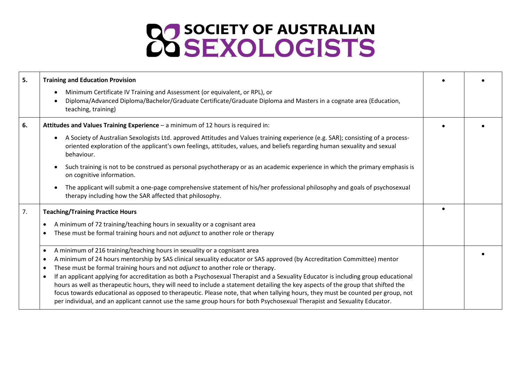## **22 SOCIETY OF AUSTRALIAN**

| 5. | <b>Training and Education Provision</b>                                                                                                                                                                                                                                                                                                                                                                                                                                                                                                                                                                                                                                                                                                                                                                                                                                        |  |
|----|--------------------------------------------------------------------------------------------------------------------------------------------------------------------------------------------------------------------------------------------------------------------------------------------------------------------------------------------------------------------------------------------------------------------------------------------------------------------------------------------------------------------------------------------------------------------------------------------------------------------------------------------------------------------------------------------------------------------------------------------------------------------------------------------------------------------------------------------------------------------------------|--|
|    | Minimum Certificate IV Training and Assessment (or equivalent, or RPL), or<br>$\bullet$<br>Diploma/Advanced Diploma/Bachelor/Graduate Certificate/Graduate Diploma and Masters in a cognate area (Education,<br>$\bullet$<br>teaching, training)                                                                                                                                                                                                                                                                                                                                                                                                                                                                                                                                                                                                                               |  |
| 6. | Attitudes and Values Training Experience - a minimum of 12 hours is required in:                                                                                                                                                                                                                                                                                                                                                                                                                                                                                                                                                                                                                                                                                                                                                                                               |  |
|    | A Society of Australian Sexologists Ltd. approved Attitudes and Values training experience (e.g. SAR); consisting of a process-<br>$\bullet$<br>oriented exploration of the applicant's own feelings, attitudes, values, and beliefs regarding human sexuality and sexual<br>behaviour.                                                                                                                                                                                                                                                                                                                                                                                                                                                                                                                                                                                        |  |
|    | Such training is not to be construed as personal psychotherapy or as an academic experience in which the primary emphasis is<br>$\bullet$<br>on cognitive information.                                                                                                                                                                                                                                                                                                                                                                                                                                                                                                                                                                                                                                                                                                         |  |
|    | The applicant will submit a one-page comprehensive statement of his/her professional philosophy and goals of psychosexual<br>$\bullet$<br>therapy including how the SAR affected that philosophy.                                                                                                                                                                                                                                                                                                                                                                                                                                                                                                                                                                                                                                                                              |  |
| 7. | <b>Teaching/Training Practice Hours</b>                                                                                                                                                                                                                                                                                                                                                                                                                                                                                                                                                                                                                                                                                                                                                                                                                                        |  |
|    | A minimum of 72 training/teaching hours in sexuality or a cognisant area<br>$\bullet$                                                                                                                                                                                                                                                                                                                                                                                                                                                                                                                                                                                                                                                                                                                                                                                          |  |
|    | These must be formal training hours and not <i>adjunct</i> to another role or therapy<br>$\bullet$                                                                                                                                                                                                                                                                                                                                                                                                                                                                                                                                                                                                                                                                                                                                                                             |  |
|    | A minimum of 216 training/teaching hours in sexuality or a cognisant area<br>$\bullet$<br>A minimum of 24 hours mentorship by SAS clinical sexuality educator or SAS approved (by Accreditation Committee) mentor<br>٠<br>These must be formal training hours and not adjunct to another role or therapy.<br>$\bullet$<br>If an applicant applying for accreditation as both a Psychosexual Therapist and a Sexuality Educator is including group educational<br>$\bullet$<br>hours as well as therapeutic hours, they will need to include a statement detailing the key aspects of the group that shifted the<br>focus towards educational as opposed to therapeutic. Please note, that when tallying hours, they must be counted per group, not<br>per individual, and an applicant cannot use the same group hours for both Psychosexual Therapist and Sexuality Educator. |  |